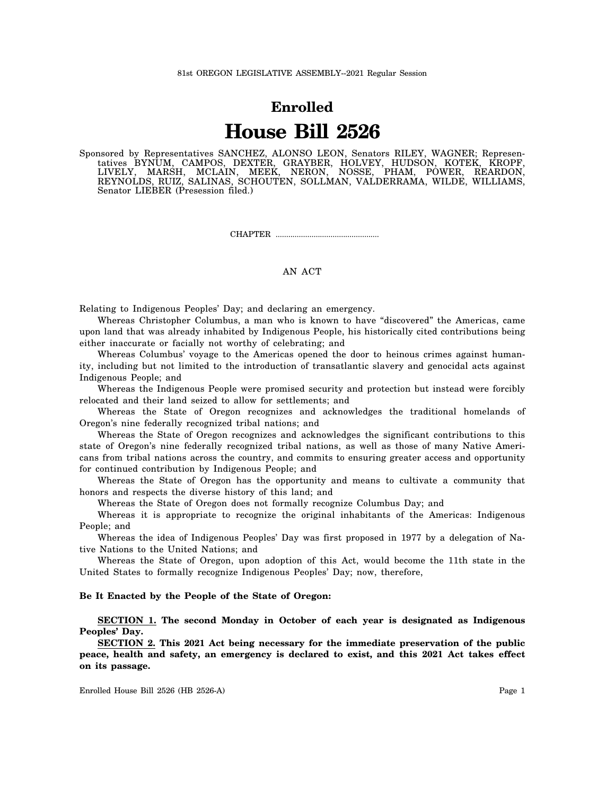## **Enrolled House Bill 2526**

Sponsored by Representatives SANCHEZ, ALONSO LEON, Senators RILEY, WAGNER; Representatives BYNUM, CAMPOS, DEXTER, GRAYBER, HOLVEY, HUDSON, KOTEK, KROPF, LIVELY, MARSH, MCLAIN, MEEK, NERON, NOSSE, PHAM, POWER, REARDON, REYNOLDS, RUIZ, SALINAS, SCHOUTEN, SOLLMAN, VALDERRAMA, WILDE, WILLIAMS, Senator LIEBER (Presession filed.)

CHAPTER .................................................

## AN ACT

Relating to Indigenous Peoples' Day; and declaring an emergency.

Whereas Christopher Columbus, a man who is known to have "discovered" the Americas, came upon land that was already inhabited by Indigenous People, his historically cited contributions being either inaccurate or facially not worthy of celebrating; and

Whereas Columbus' voyage to the Americas opened the door to heinous crimes against humanity, including but not limited to the introduction of transatlantic slavery and genocidal acts against Indigenous People; and

Whereas the Indigenous People were promised security and protection but instead were forcibly relocated and their land seized to allow for settlements; and

Whereas the State of Oregon recognizes and acknowledges the traditional homelands of Oregon's nine federally recognized tribal nations; and

Whereas the State of Oregon recognizes and acknowledges the significant contributions to this state of Oregon's nine federally recognized tribal nations, as well as those of many Native Americans from tribal nations across the country, and commits to ensuring greater access and opportunity for continued contribution by Indigenous People; and

Whereas the State of Oregon has the opportunity and means to cultivate a community that honors and respects the diverse history of this land; and

Whereas the State of Oregon does not formally recognize Columbus Day; and

Whereas it is appropriate to recognize the original inhabitants of the Americas: Indigenous People; and

Whereas the idea of Indigenous Peoples' Day was first proposed in 1977 by a delegation of Native Nations to the United Nations; and

Whereas the State of Oregon, upon adoption of this Act, would become the 11th state in the United States to formally recognize Indigenous Peoples' Day; now, therefore,

## **Be It Enacted by the People of the State of Oregon:**

**SECTION 1. The second Monday in October of each year is designated as Indigenous Peoples' Day.**

**SECTION 2. This 2021 Act being necessary for the immediate preservation of the public peace, health and safety, an emergency is declared to exist, and this 2021 Act takes effect on its passage.**